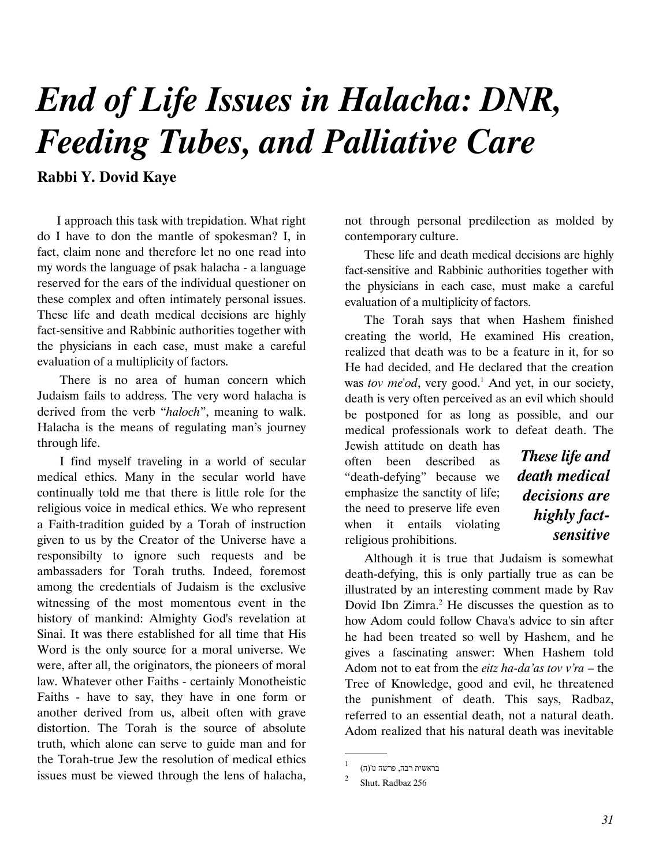# End of Life Issues in Halacha: DNR, Feeding Tubes, and Palliative Care

Rabbi Y. Dovid Kaye

I approach this task with trepidation. What right do I have to don the mantle of spokesman? I, in fact, claim none and therefore let no one read into my words the language of psak halacha - a language reserved for the ears of the individual questioner on these complex and often intimately personal issues. These life and death medical decisions are highly fact-sensitive and Rabbinic authorities together with the physicians in each case, must make a careful evaluation of a multiplicity of factors.

 There is no area of human concern which Judaism fails to address. The very word halacha is derived from the verb "haloch", meaning to walk. Halacha is the means of regulating man's journey through life.

 I find myself traveling in a world of secular medical ethics. Many in the secular world have continually told me that there is little role for the religious voice in medical ethics. We who represent a Faith-tradition guided by a Torah of instruction given to us by the Creator of the Universe have a responsibilty to ignore such requests and be ambassaders for Torah truths. Indeed, foremost among the credentials of Judaism is the exclusive witnessing of the most momentous event in the history of mankind: Almighty God's revelation at Sinai. It was there established for all time that His Word is the only source for a moral universe. We were, after all, the originators, the pioneers of moral law. Whatever other Faiths - certainly Monotheistic Faiths - have to say, they have in one form or another derived from us, albeit often with grave distortion. The Torah is the source of absolute truth, which alone can serve to guide man and for the Torah-true Jew the resolution of medical ethics issues must be viewed through the lens of halacha,

not through personal predilection as molded by contemporary culture.

These life and death medical decisions are highly fact-sensitive and Rabbinic authorities together with the physicians in each case, must make a careful evaluation of a multiplicity of factors.

The Torah says that when Hashem finished creating the world, He examined His creation, realized that death was to be a feature in it, for so He had decided, and He declared that the creation was tov me'od, very good.<sup>1</sup> And yet, in our society, death is very often perceived as an evil which should be postponed for as long as possible, and our medical professionals work to defeat death. The

Jewish attitude on death has often been described as "death-defying" because we emphasize the sanctity of life; the need to preserve life even when it entails violating religious prohibitions.

These life and death medical decisions are highly factsensitive

Although it is true that Judaism is somewhat death-defying, this is only partially true as can be illustrated by an interesting comment made by Rav Dovid Ibn Zimra.<sup>2</sup> He discusses the question as to how Adom could follow Chava's advice to sin after he had been treated so well by Hashem, and he gives a fascinating answer: When Hashem told Adom not to eat from the *eitz ha-da'as tov v'ra* – the Tree of Knowledge, good and evil, he threatened the punishment of death. This says, Radbaz, referred to an essential death, not a natural death. Adom realized that his natural death was inevitable

.

<sup>1</sup> בראשית רבה, פרשה ט'(ה)

 $\overline{2}$ Shut. Radbaz 256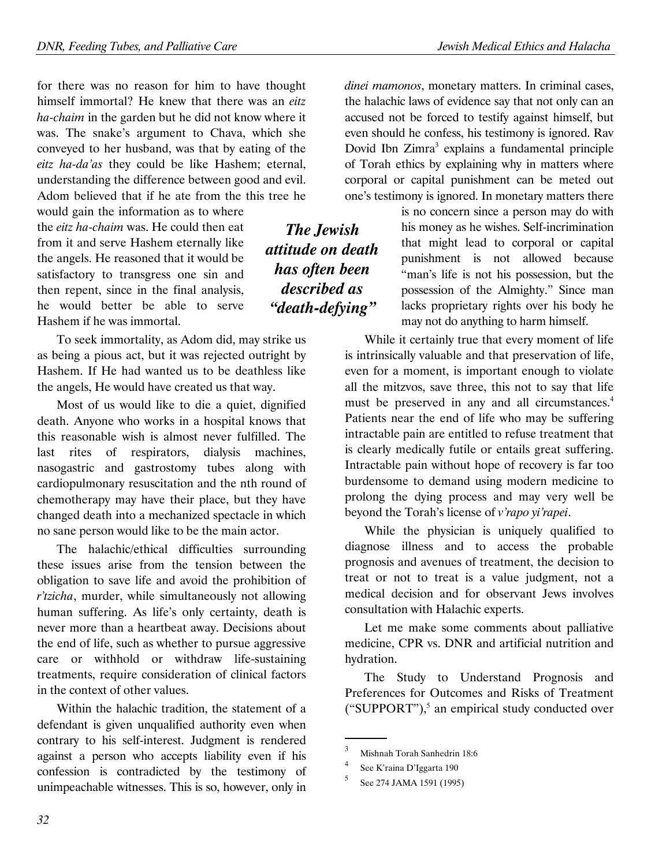for there was no reason for him to have thought himself immortal? He knew that there was an eitz ha-chaim in the garden but he did not know where it was. The snake's argument to Chava, which she conveyed to her husband, was that by eating of the eitz ha-da'as they could be like Hashem; eternal, understanding the difference between good and evil. Adom believed that if he ate from the this tree he

would gain the information as to where the eitz ha-chaim was. He could then eat from it and serve Hashem eternally like the angels. He reasoned that it would be satisfactory to transgress one sin and then repent, since in the final analysis, he would better be able to serve Hashem if he was immortal.

To seek immortality, as Adom did, may strike us as being a pious act, but it was rejected outright by Hashem. If He had wanted us to be deathless like the angels, He would have created us that way.

Most of us would like to die a quiet, dignified death. Anyone who works in a hospital knows that this reasonable wish is almost never fulfilled. The last rites of respirators, dialysis machines, nasogastric and gastrostomy tubes along with cardiopulmonary resuscitation and the nth round of chemotherapy may have their place, but they have changed death into a mechanized spectacle in which no sane person would like to be the main actor.

The halachic/ethical difficulties surrounding these issues arise from the tension between the obligation to save life and avoid the prohibition of r'tzicha, murder, while simultaneously not allowing human suffering. As life's only certainty, death is never more than a heartbeat away. Decisions about the end of life, such as whether to pursue aggressive care or withhold or withdraw life-sustaining treatments, require consideration of clinical factors in the context of other values.

Within the halachic tradition, the statement of a defendant is given unqualified authority even when contrary to his self-interest. Judgment is rendered against a person who accepts liability even if his confession is contradicted by the testimony of unimpeachable witnesses. This is so, however, only in dinei mamonos, monetary matters. In criminal cases, the halachic laws of evidence say that not only can an accused not be forced to testify against himself, but even should he confess, his testimony is ignored. Rav Dovid Ibn Zimra<sup>3</sup> explains a fundamental principle of Torah ethics by explaining why in matters where corporal or capital punishment can be meted out one's testimony is ignored. In monetary matters there

is no concern since a person may do with his money as he wishes. Self-incrimination that might lead to corporal or capital punishment is not allowed because "man's life is not his possession, but the possession of the Almighty." Since man lacks proprietary rights over his body he may not do anything to harm himself.

While it certainly true that every moment of life is intrinsically valuable and that preservation of life, even for a moment, is important enough to violate all the mitzvos, save three, this not to say that life must be preserved in any and all circumstances.<sup>4</sup> Patients near the end of life who may be suffering intractable pain are entitled to refuse treatment that is clearly medically futile or entails great suffering. Intractable pain without hope of recovery is far too burdensome to demand using modern medicine to prolong the dying process and may very well be beyond the Torah's license of v'rapo yi'rapei.

While the physician is uniquely qualified to diagnose illness and to access the probable prognosis and avenues of treatment, the decision to treat or not to treat is a value judgment, not a medical decision and for observant Jews involves consultation with Halachic experts.

Let me make some comments about palliative medicine, CPR vs. DNR and artificial nutrition and hydration.

The Study to Understand Prognosis and Preferences for Outcomes and Risks of Treatment ("SUPPORT"), $<sup>5</sup>$  an empirical study conducted over</sup>

.

32

The Jewish attitude on death has often been described as "death-defying"

<sup>3</sup> Mishnah Torah Sanhedrin 18:6

<sup>4</sup> See K'raina D'Iggarta 190

<sup>5</sup> See 274 JAMA 1591 (1995)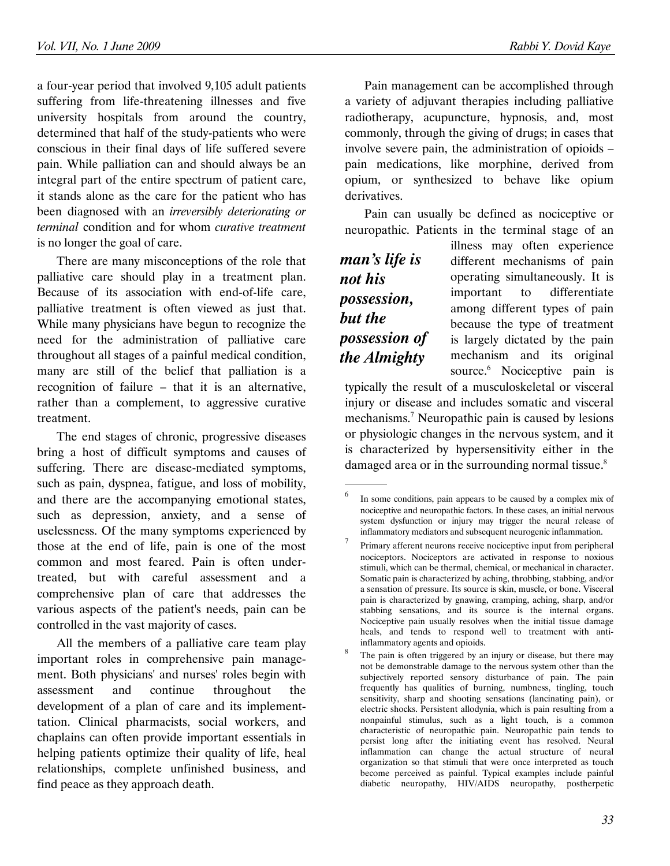a four-year period that involved 9,105 adult patients suffering from life-threatening illnesses and five university hospitals from around the country, determined that half of the study-patients who were conscious in their final days of life suffered severe pain. While palliation can and should always be an integral part of the entire spectrum of patient care, it stands alone as the care for the patient who has been diagnosed with an irreversibly deteriorating or terminal condition and for whom curative treatment is no longer the goal of care.

There are many misconceptions of the role that palliative care should play in a treatment plan. Because of its association with end-of-life care, palliative treatment is often viewed as just that. While many physicians have begun to recognize the need for the administration of palliative care throughout all stages of a painful medical condition, many are still of the belief that palliation is a recognition of failure – that it is an alternative, rather than a complement, to aggressive curative treatment.

The end stages of chronic, progressive diseases bring a host of difficult symptoms and causes of suffering. There are disease-mediated symptoms, such as pain, dyspnea, fatigue, and loss of mobility, and there are the accompanying emotional states, such as depression, anxiety, and a sense of uselessness. Of the many symptoms experienced by those at the end of life, pain is one of the most common and most feared. Pain is often undertreated, but with careful assessment and a comprehensive plan of care that addresses the various aspects of the patient's needs, pain can be controlled in the vast majority of cases.

All the members of a palliative care team play important roles in comprehensive pain management. Both physicians' and nurses' roles begin with assessment and continue throughout the development of a plan of care and its implementtation. Clinical pharmacists, social workers, and chaplains can often provide important essentials in helping patients optimize their quality of life, heal relationships, complete unfinished business, and find peace as they approach death.

Pain management can be accomplished through a variety of adjuvant therapies including palliative radiotherapy, acupuncture, hypnosis, and, most commonly, through the giving of drugs; in cases that involve severe pain, the administration of opioids – pain medications, like morphine, derived from opium, or synthesized to behave like opium derivatives.

Pain can usually be defined as nociceptive or neuropathic. Patients in the terminal stage of an

man's life is not his possession, but the possession of the Almighty

.

illness may often experience different mechanisms of pain operating simultaneously. It is important to differentiate among different types of pain because the type of treatment is largely dictated by the pain mechanism and its original source.<sup>6</sup> Nociceptive pain is

typically the result of a musculoskeletal or visceral injury or disease and includes somatic and visceral mechanisms.<sup>7</sup> Neuropathic pain is caused by lesions or physiologic changes in the nervous system, and it is characterized by hypersensitivity either in the damaged area or in the surrounding normal tissue. $8$ 

<sup>6</sup> In some conditions, pain appears to be caused by a complex mix of nociceptive and neuropathic factors. In these cases, an initial nervous system dysfunction or injury may trigger the neural release of inflammatory mediators and subsequent neurogenic inflammation.

<sup>7</sup> Primary afferent neurons receive nociceptive input from peripheral nociceptors. Nociceptors are activated in response to noxious stimuli, which can be thermal, chemical, or mechanical in character. Somatic pain is characterized by aching, throbbing, stabbing, and/or a sensation of pressure. Its source is skin, muscle, or bone. Visceral pain is characterized by gnawing, cramping, aching, sharp, and/or stabbing sensations, and its source is the internal organs. Nociceptive pain usually resolves when the initial tissue damage heals, and tends to respond well to treatment with antiinflammatory agents and opioids.

<sup>8</sup> The pain is often triggered by an injury or disease, but there may not be demonstrable damage to the nervous system other than the subjectively reported sensory disturbance of pain. The pain frequently has qualities of burning, numbness, tingling, touch sensitivity, sharp and shooting sensations (lancinating pain), or electric shocks. Persistent allodynia, which is pain resulting from a nonpainful stimulus, such as a light touch, is a common characteristic of neuropathic pain. Neuropathic pain tends to persist long after the initiating event has resolved. Neural inflammation can change the actual structure of neural organization so that stimuli that were once interpreted as touch become perceived as painful. Typical examples include painful diabetic neuropathy, HIV/AIDS neuropathy, postherpetic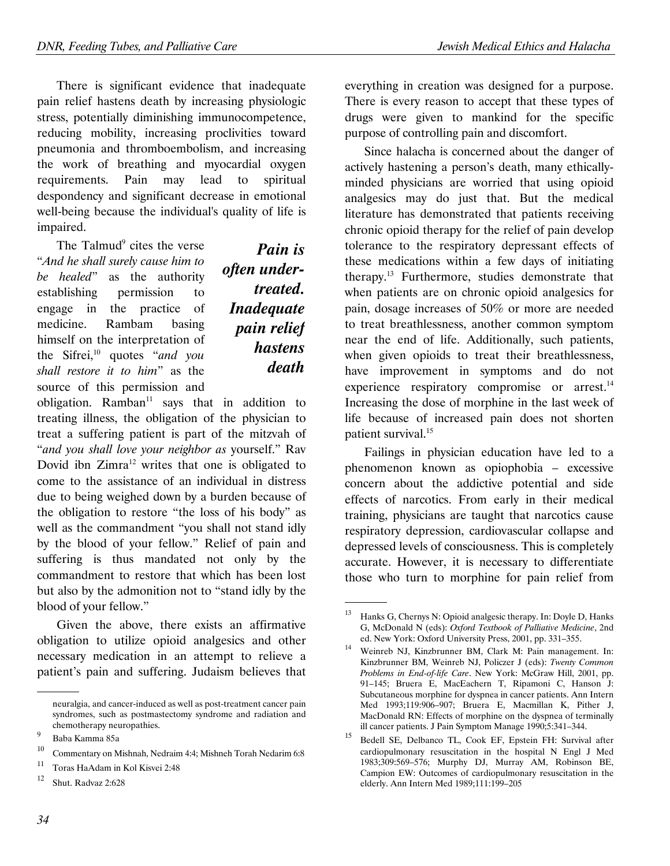There is significant evidence that inadequate pain relief hastens death by increasing physiologic stress, potentially diminishing immunocompetence, reducing mobility, increasing proclivities toward pneumonia and thromboembolism, and increasing the work of breathing and myocardial oxygen requirements. Pain may lead to spiritual despondency and significant decrease in emotional well-being because the individual's quality of life is impaired.

The Talmud<sup>9</sup> cites the verse "And he shall surely cause him to be healed" as the authority establishing permission to engage in the practice of medicine. Rambam basing himself on the interpretation of the Sifrei, $10$  quotes "and you shall restore it to him" as the source of this permission and

# Pain is often undertreated. **Inadequate** pain relief **hastens** death

obligation. Ramban $11$  says that in addition to treating illness, the obligation of the physician to treat a suffering patient is part of the mitzvah of "and you shall love your neighbor as yourself." Rav Dovid ibn Zimra<sup>12</sup> writes that one is obligated to come to the assistance of an individual in distress due to being weighed down by a burden because of the obligation to restore "the loss of his body" as well as the commandment "you shall not stand idly by the blood of your fellow." Relief of pain and suffering is thus mandated not only by the commandment to restore that which has been lost but also by the admonition not to "stand idly by the blood of your fellow."

Given the above, there exists an affirmative obligation to utilize opioid analgesics and other necessary medication in an attempt to relieve a patient's pain and suffering. Judaism believes that everything in creation was designed for a purpose. There is every reason to accept that these types of drugs were given to mankind for the specific purpose of controlling pain and discomfort.

Since halacha is concerned about the danger of actively hastening a person's death, many ethicallyminded physicians are worried that using opioid analgesics may do just that. But the medical literature has demonstrated that patients receiving chronic opioid therapy for the relief of pain develop tolerance to the respiratory depressant effects of these medications within a few days of initiating therapy.<sup>13</sup> Furthermore, studies demonstrate that when patients are on chronic opioid analgesics for pain, dosage increases of 50% or more are needed to treat breathlessness, another common symptom near the end of life. Additionally, such patients, when given opioids to treat their breathlessness, have improvement in symptoms and do not experience respiratory compromise or arrest.<sup>14</sup> Increasing the dose of morphine in the last week of life because of increased pain does not shorten patient survival.<sup>15</sup>

Failings in physician education have led to a phenomenon known as opiophobia – excessive concern about the addictive potential and side effects of narcotics. From early in their medical training, physicians are taught that narcotics cause respiratory depression, cardiovascular collapse and depressed levels of consciousness. This is completely accurate. However, it is necessary to differentiate those who turn to morphine for pain relief from

.

 <sup>.</sup> neuralgia, and cancer-induced as well as post-treatment cancer pain syndromes, such as postmastectomy syndrome and radiation and chemotherapy neuropathies.

<sup>9</sup> Baba Kamma 85a

<sup>10</sup> Commentary on Mishnah, Nedraim 4:4; Mishneh Torah Nedarim 6:8

<sup>11</sup> Toras HaAdam in Kol Kisvei 2:48

<sup>12</sup> Shut. Radvaz 2:628

<sup>13</sup> Hanks G, Chernys N: Opioid analgesic therapy. In: Doyle D, Hanks G, McDonald N (eds): Oxford Textbook of Palliative Medicine, 2nd ed. New York: Oxford University Press, 2001, pp. 331–355.

<sup>14</sup> Weinreb NJ, Kinzbrunner BM, Clark M: Pain management. In: Kinzbrunner BM, Weinreb NJ, Policzer J (eds): Twenty Common Problems in End-of-life Care. New York: McGraw Hill, 2001, pp. 91–145; Bruera E, MacEachern T, Ripamoni C, Hanson J: Subcutaneous morphine for dyspnea in cancer patients. Ann Intern Med 1993;119:906–907; Bruera E, Macmillan K, Pither J, MacDonald RN: Effects of morphine on the dyspnea of terminally ill cancer patients. J Pain Symptom Manage 1990;5:341–344.

<sup>15</sup> Bedell SE, Delbanco TL, Cook EF, Epstein FH: Survival after cardiopulmonary resuscitation in the hospital N Engl J Med 1983;309:569–576; Murphy DJ, Murray AM, Robinson BE, Campion EW: Outcomes of cardiopulmonary resuscitation in the elderly. Ann Intern Med 1989;111:199–205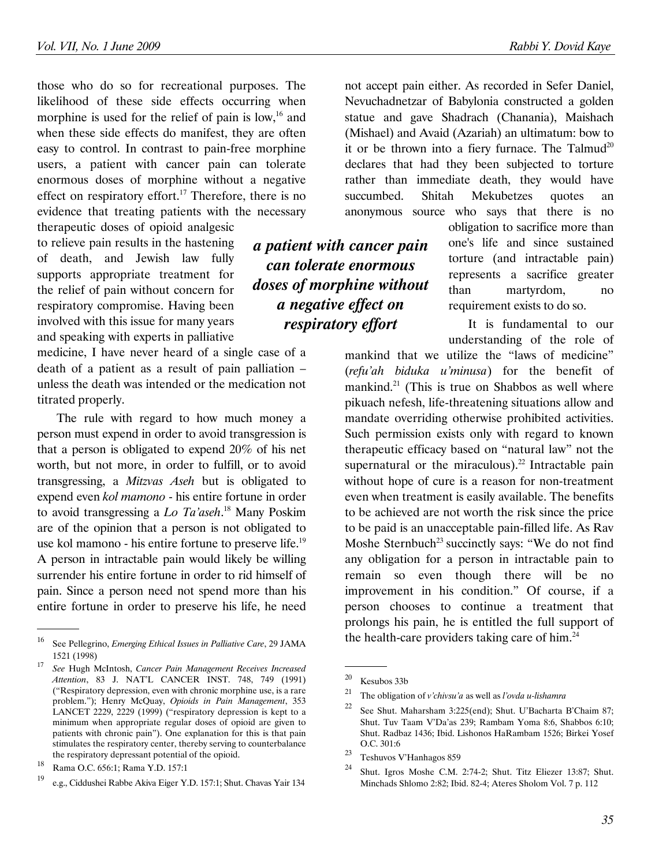those who do so for recreational purposes. The likelihood of these side effects occurring when morphine is used for the relief of pain is  $low,^{16}$  and when these side effects do manifest, they are often easy to control. In contrast to pain-free morphine users, a patient with cancer pain can tolerate enormous doses of morphine without a negative effect on respiratory effort.<sup>17</sup> Therefore, there is no evidence that treating patients with the necessary therapeutic doses of opioid analgesic

to relieve pain results in the hastening of death, and Jewish law fully supports appropriate treatment for the relief of pain without concern for respiratory compromise. Having been involved with this issue for many years and speaking with experts in palliative

medicine, I have never heard of a single case of a death of a patient as a result of pain palliation – unless the death was intended or the medication not titrated properly.

The rule with regard to how much money a person must expend in order to avoid transgression is that a person is obligated to expend 20% of his net worth, but not more, in order to fulfill, or to avoid transgressing, a Mitzvas Aseh but is obligated to expend even kol mamono - his entire fortune in order to avoid transgressing a *Lo Ta'aseh*.<sup>18</sup> Many Poskim are of the opinion that a person is not obligated to use kol mamono - his entire fortune to preserve life.<sup>19</sup> A person in intractable pain would likely be willing surrender his entire fortune in order to rid himself of pain. Since a person need not spend more than his entire fortune in order to preserve his life, he need

.

not accept pain either. As recorded in Sefer Daniel, Nevuchadnetzar of Babylonia constructed a golden statue and gave Shadrach (Chanania), Maishach (Mishael) and Avaid (Azariah) an ultimatum: bow to it or be thrown into a fiery furnace. The Talmud<sup>20</sup> declares that had they been subjected to torture rather than immediate death, they would have succumbed. Shitah Mekubetzes quotes an anonymous source who says that there is no

> obligation to sacrifice more than one's life and since sustained torture (and intractable pain) represents a sacrifice greater than martyrdom, no requirement exists to do so.

It is fundamental to our understanding of the role of

mankind that we utilize the "laws of medicine" (refu'ah biduka u'minusa) for the benefit of mankind.<sup>21</sup> (This is true on Shabbos as well where pikuach nefesh, life-threatening situations allow and mandate overriding otherwise prohibited activities. Such permission exists only with regard to known therapeutic efficacy based on "natural law" not the supernatural or the miraculous).<sup>22</sup> Intractable pain without hope of cure is a reason for non-treatment even when treatment is easily available. The benefits to be achieved are not worth the risk since the price to be paid is an unacceptable pain-filled life. As Rav Moshe Sternbuch<sup>23</sup> succinctly says: "We do not find any obligation for a person in intractable pain to remain so even though there will be no improvement in his condition." Of course, if a person chooses to continue a treatment that prolongs his pain, he is entitled the full support of the health-care providers taking care of him. $24$ 

.

## a patient with cancer pain can tolerate enormous doses of morphine without a negative effect on respiratory effort

<sup>16</sup> See Pellegrino, Emerging Ethical Issues in Palliative Care, 29 JAMA 1521 (1998)

<sup>17</sup> See Hugh McIntosh, Cancer Pain Management Receives Increased Attention, 83 J. NAT'L CANCER INST. 748, 749 (1991) ("Respiratory depression, even with chronic morphine use, is a rare problem."); Henry McQuay, Opioids in Pain Management, 353 LANCET 2229, 2229 (1999) ("respiratory depression is kept to a minimum when appropriate regular doses of opioid are given to patients with chronic pain"). One explanation for this is that pain stimulates the respiratory center, thereby serving to counterbalance the respiratory depressant potential of the opioid.

<sup>18</sup> Rama O.C. 656:1; Rama Y.D. 157:1

<sup>19</sup> e.g., Ciddushei Rabbe Akiva Eiger Y.D. 157:1; Shut. Chavas Yair 134

<sup>20</sup> Kesubos 33b

<sup>&</sup>lt;sup>21</sup> The obligation of *v'chivsu'a* as well as *l'ovda u-lishamra* 

<sup>&</sup>lt;sup>22</sup> See Shut. Maharsham 3:225(end); Shut. U'Bacharta B'Chaim 87; Shut. Tuv Taam V'Da'as 239; Rambam Yoma 8:6, Shabbos 6:10; Shut. Radbaz 1436; Ibid. Lishonos HaRambam 1526; Birkei Yosef O.C. 301:6

<sup>&</sup>lt;sup>23</sup> Teshuvos V'Hanhagos 859<br><sup>24</sup> SL v Ludwig 2014

<sup>24</sup> Shut. Igros Moshe C.M. 2:74-2; Shut. Titz Eliezer 13:87; Shut. Minchads Shlomo 2:82; Ibid. 82-4; Ateres Sholom Vol. 7 p. 112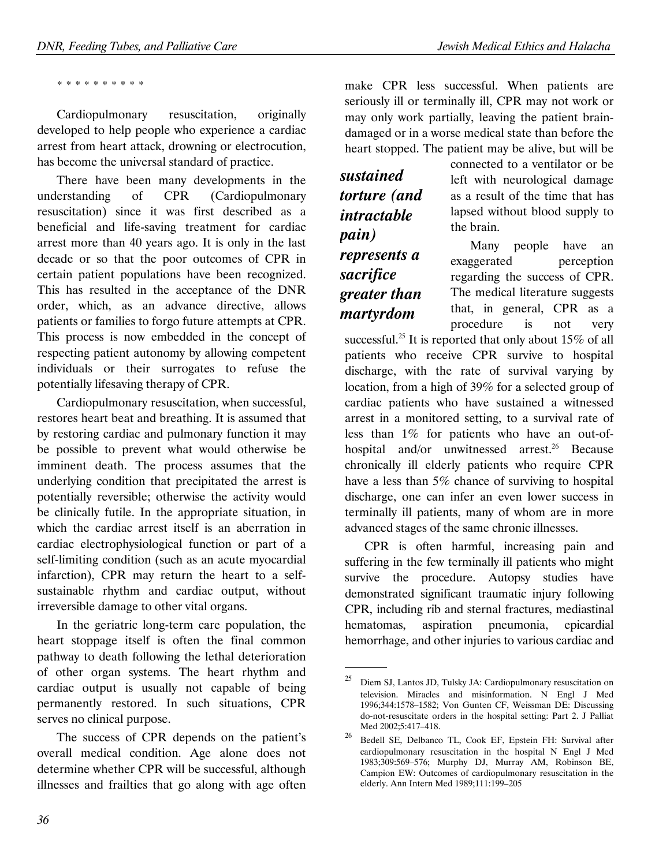\* \* \* \* \* \* \* \* \* \*

Cardiopulmonary resuscitation, originally developed to help people who experience a cardiac arrest from heart attack, drowning or electrocution, has become the universal standard of practice.

There have been many developments in the understanding of CPR (Cardiopulmonary resuscitation) since it was first described as a beneficial and life-saving treatment for cardiac arrest more than 40 years ago. It is only in the last decade or so that the poor outcomes of CPR in certain patient populations have been recognized. This has resulted in the acceptance of the DNR order, which, as an advance directive, allows patients or families to forgo future attempts at CPR. This process is now embedded in the concept of respecting patient autonomy by allowing competent individuals or their surrogates to refuse the potentially lifesaving therapy of CPR.

Cardiopulmonary resuscitation, when successful, restores heart beat and breathing. It is assumed that by restoring cardiac and pulmonary function it may be possible to prevent what would otherwise be imminent death. The process assumes that the underlying condition that precipitated the arrest is potentially reversible; otherwise the activity would be clinically futile. In the appropriate situation, in which the cardiac arrest itself is an aberration in cardiac electrophysiological function or part of a self-limiting condition (such as an acute myocardial infarction), CPR may return the heart to a selfsustainable rhythm and cardiac output, without irreversible damage to other vital organs.

In the geriatric long-term care population, the heart stoppage itself is often the final common pathway to death following the lethal deterioration of other organ systems. The heart rhythm and cardiac output is usually not capable of being permanently restored. In such situations, CPR serves no clinical purpose.

The success of CPR depends on the patient's overall medical condition. Age alone does not determine whether CPR will be successful, although illnesses and frailties that go along with age often

make CPR less successful. When patients are seriously ill or terminally ill, CPR may not work or may only work partially, leaving the patient braindamaged or in a worse medical state than before the heart stopped. The patient may be alive, but will be

sustained torture (and intractable pain) represents a sacrifice greater than martyrdom

.

connected to a ventilator or be left with neurological damage as a result of the time that has lapsed without blood supply to the brain.

Many people have an exaggerated perception regarding the success of CPR. The medical literature suggests that, in general, CPR as a procedure is not very

successful.<sup>25</sup> It is reported that only about 15% of all patients who receive CPR survive to hospital discharge, with the rate of survival varying by location, from a high of 39% for a selected group of cardiac patients who have sustained a witnessed arrest in a monitored setting, to a survival rate of less than 1% for patients who have an out-ofhospital and/or unwitnessed arrest.<sup>26</sup> Because chronically ill elderly patients who require CPR have a less than 5% chance of surviving to hospital discharge, one can infer an even lower success in terminally ill patients, many of whom are in more advanced stages of the same chronic illnesses.

CPR is often harmful, increasing pain and suffering in the few terminally ill patients who might survive the procedure. Autopsy studies have demonstrated significant traumatic injury following CPR, including rib and sternal fractures, mediastinal hematomas, aspiration pneumonia, epicardial hemorrhage, and other injuries to various cardiac and

<sup>25</sup> Diem SJ, Lantos JD, Tulsky JA: Cardiopulmonary resuscitation on television. Miracles and misinformation. N Engl J Med 1996;344:1578–1582; Von Gunten CF, Weissman DE: Discussing do-not-resuscitate orders in the hospital setting: Part 2. J Palliat Med 2002;5:417–418.

<sup>26</sup> Bedell SE, Delbanco TL, Cook EF, Epstein FH: Survival after cardiopulmonary resuscitation in the hospital N Engl J Med 1983;309:569–576; Murphy DJ, Murray AM, Robinson BE, Campion EW: Outcomes of cardiopulmonary resuscitation in the elderly. Ann Intern Med 1989;111:199–205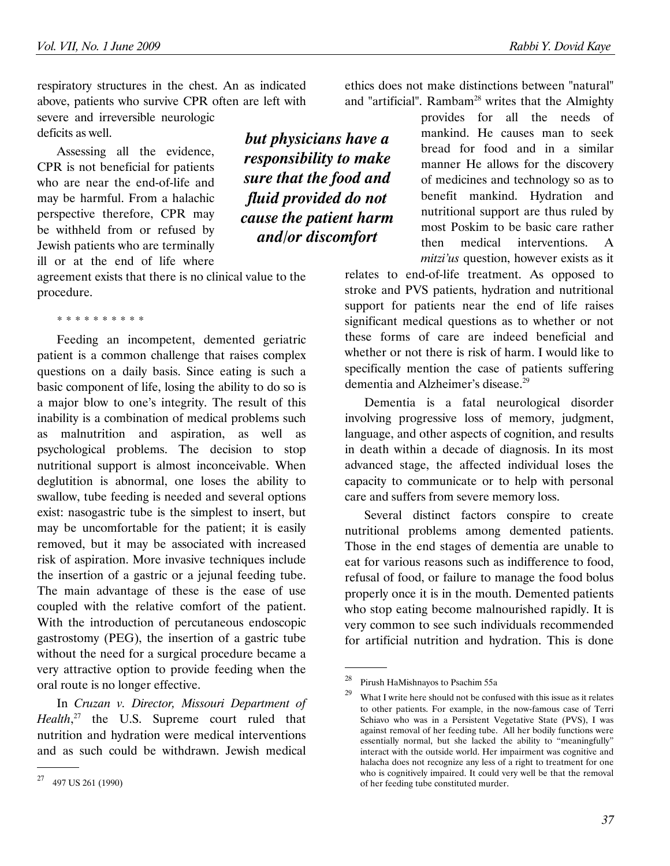respiratory structures in the chest. An as indicated above, patients who survive CPR often are left with severe and irreversible neurologic deficits as well.

Assessing all the evidence, CPR is not beneficial for patients who are near the end-of-life and may be harmful. From a halachic perspective therefore, CPR may be withheld from or refused by Jewish patients who are terminally ill or at the end of life where

agreement exists that there is no clinical value to the procedure.

\* \* \* \* \* \* \* \* \* \*

Feeding an incompetent, demented geriatric patient is a common challenge that raises complex questions on a daily basis. Since eating is such a basic component of life, losing the ability to do so is a major blow to one's integrity. The result of this inability is a combination of medical problems such as malnutrition and aspiration, as well as psychological problems. The decision to stop nutritional support is almost inconceivable. When deglutition is abnormal, one loses the ability to swallow, tube feeding is needed and several options exist: nasogastric tube is the simplest to insert, but may be uncomfortable for the patient; it is easily removed, but it may be associated with increased risk of aspiration. More invasive techniques include the insertion of a gastric or a jejunal feeding tube. The main advantage of these is the ease of use coupled with the relative comfort of the patient. With the introduction of percutaneous endoscopic gastrostomy (PEG), the insertion of a gastric tube without the need for a surgical procedure became a very attractive option to provide feeding when the oral route is no longer effective.

In Cruzan v. Director, Missouri Department of Health, $27$  the U.S. Supreme court ruled that nutrition and hydration were medical interventions and as such could be withdrawn. Jewish medical

.

but physicians have a responsibility to make sure that the food and fluid provided do not cause the patient harm and/or discomfort

ethics does not make distinctions between "natural" and "artificial". Rambam<sup>28</sup> writes that the Almighty

> provides for all the needs of mankind. He causes man to seek bread for food and in a similar manner He allows for the discovery of medicines and technology so as to benefit mankind. Hydration and nutritional support are thus ruled by most Poskim to be basic care rather then medical interventions. A mitzi'us question, however exists as it

relates to end-of-life treatment. As opposed to stroke and PVS patients, hydration and nutritional support for patients near the end of life raises significant medical questions as to whether or not these forms of care are indeed beneficial and whether or not there is risk of harm. I would like to specifically mention the case of patients suffering dementia and Alzheimer's disease.<sup>29</sup>

Dementia is a fatal neurological disorder involving progressive loss of memory, judgment, language, and other aspects of cognition, and results in death within a decade of diagnosis. In its most advanced stage, the affected individual loses the capacity to communicate or to help with personal care and suffers from severe memory loss.

Several distinct factors conspire to create nutritional problems among demented patients. Those in the end stages of dementia are unable to eat for various reasons such as indifference to food, refusal of food, or failure to manage the food bolus properly once it is in the mouth. Demented patients who stop eating become malnourished rapidly. It is very common to see such individuals recommended for artificial nutrition and hydration. This is done

.

<sup>27</sup> 497 US 261 (1990)

<sup>28</sup> Pirush HaMishnayos to Psachim 55a

What I write here should not be confused with this issue as it relates to other patients. For example, in the now-famous case of Terri Schiavo who was in a Persistent Vegetative State (PVS), I was against removal of her feeding tube. All her bodily functions were essentially normal, but she lacked the ability to "meaningfully" interact with the outside world. Her impairment was cognitive and halacha does not recognize any less of a right to treatment for one who is cognitively impaired. It could very well be that the removal of her feeding tube constituted murder.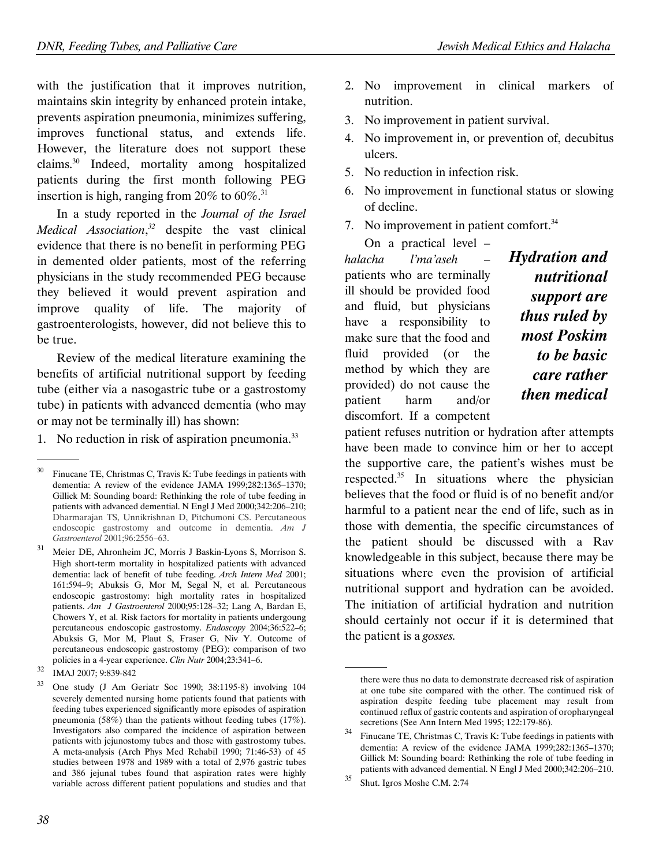with the justification that it improves nutrition, maintains skin integrity by enhanced protein intake, prevents aspiration pneumonia, minimizes suffering, improves functional status, and extends life. However, the literature does not support these claims.<sup>30</sup> Indeed, mortality among hospitalized patients during the first month following PEG insertion is high, ranging from 20% to  $60\%$ .<sup>31</sup>

In a study reported in the Journal of the Israel *Medical Association*,<sup>32</sup> despite the vast clinical evidence that there is no benefit in performing PEG in demented older patients, most of the referring physicians in the study recommended PEG because they believed it would prevent aspiration and improve quality of life. The majority of gastroenterologists, however, did not believe this to be true.

Review of the medical literature examining the benefits of artificial nutritional support by feeding tube (either via a nasogastric tube or a gastrostomy tube) in patients with advanced dementia (who may or may not be terminally ill) has shown:

1. No reduction in risk of aspiration pneumonia. $33$ 

.

- 2. No improvement in clinical markers of nutrition.
- 3. No improvement in patient survival.
- 4. No improvement in, or prevention of, decubitus ulcers.
- 5. No reduction in infection risk.
- 6. No improvement in functional status or slowing of decline.
- 7. No improvement in patient comfort.<sup>34</sup>

On a practical level – halacha l'ma'aseh patients who are terminally ill should be provided food and fluid, but physicians have a responsibility to make sure that the food and fluid provided (or the method by which they are provided) do not cause the patient harm and/or discomfort. If a competent

Hydration and nutritional support are thus ruled by most Poskim to be basic care rather then medical

patient refuses nutrition or hydration after attempts have been made to convince him or her to accept the supportive care, the patient's wishes must be respected.<sup>35</sup> In situations where the physician believes that the food or fluid is of no benefit and/or harmful to a patient near the end of life, such as in those with dementia, the specific circumstances of the patient should be discussed with a Rav knowledgeable in this subject, because there may be situations where even the provision of artificial nutritional support and hydration can be avoided. The initiation of artificial hydration and nutrition should certainly not occur if it is determined that the patient is a gosses.

<sup>30</sup> Finucane TE, Christmas C, Travis K: Tube feedings in patients with dementia: A review of the evidence JAMA 1999;282:1365–1370; Gillick M: Sounding board: Rethinking the role of tube feeding in patients with advanced demential. N Engl J Med 2000;342:206–210; Dharmarajan TS, Unnikrishnan D, Pitchumoni CS. Percutaneous endoscopic gastrostomy and outcome in dementia. Am J Gastroenterol 2001;96:2556–63.

<sup>31</sup> Meier DE, Ahronheim JC, Morris J Baskin-Lyons S, Morrison S. High short-term mortality in hospitalized patients with advanced dementia: lack of benefit of tube feeding. Arch Intern Med 2001; 161:594–9; Abuksis G, Mor M, Segal N, et al. Percutaneous endoscopic gastrostomy: high mortality rates in hospitalized patients. Am J Gastroenterol 2000;95:128–32; Lang A, Bardan E, Chowers Y, et al. Risk factors for mortality in patients undergoung percutaneous endoscopic gastrostomy. Endoscopy 2004;36:522–6; Abuksis G, Mor M, Plaut S, Fraser G, Niv Y. Outcome of percutaneous endoscopic gastrostomy (PEG): comparison of two policies in a 4-year experience. Clin Nutr 2004;23:341–6.

<sup>&</sup>lt;sup>32</sup> IMAJ 2007; 9:839-842

<sup>33</sup> One study (J Am Geriatr Soc 1990; 38:1195-8) involving 104 severely demented nursing home patients found that patients with feeding tubes experienced significantly more episodes of aspiration pneumonia (58%) than the patients without feeding tubes (17%). Investigators also compared the incidence of aspiration between patients with jejunostomy tubes and those with gastrostomy tubes. A meta-analysis (Arch Phys Med Rehabil 1990; 71:46-53) of 45 studies between 1978 and 1989 with a total of 2,976 gastric tubes and 386 jejunal tubes found that aspiration rates were highly variable across different patient populations and studies and that

 <sup>.</sup> there were thus no data to demonstrate decreased risk of aspiration at one tube site compared with the other. The continued risk of aspiration despite feeding tube placement may result from continued reflux of gastric contents and aspiration of oropharyngeal secretions (See Ann Intern Med 1995; 122:179-86).

<sup>34</sup> Finucane TE, Christmas C, Travis K: Tube feedings in patients with dementia: A review of the evidence JAMA 1999;282:1365–1370; Gillick M: Sounding board: Rethinking the role of tube feeding in patients with advanced demential. N Engl J Med 2000;342:206–210.

<sup>35</sup> Shut. Igros Moshe C.M. 2:74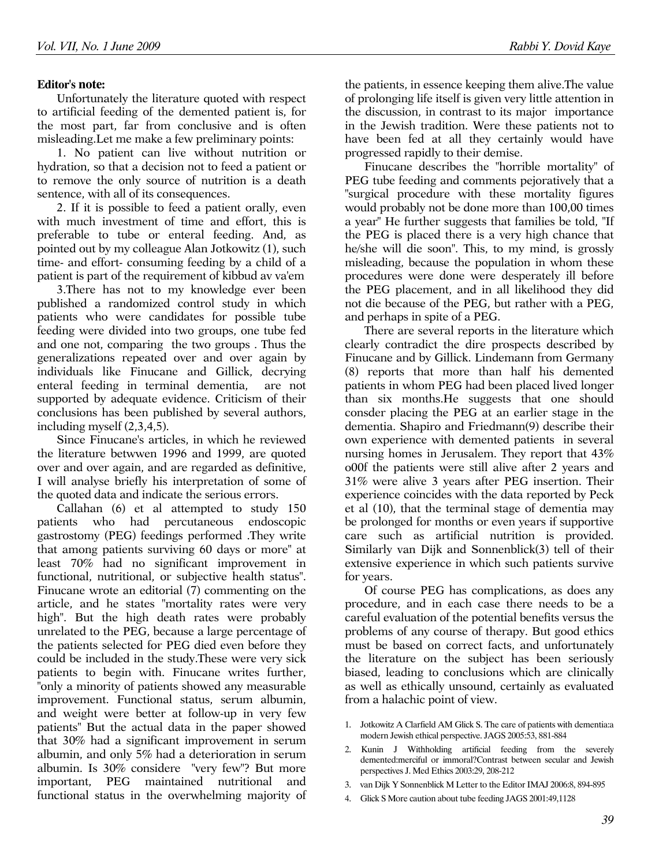## Editor's note:

Unfortunately the literature quoted with respect to artificial feeding of the demented patient is, for the most part, far from conclusive and is often misleading.Let me make a few preliminary points:

1. No patient can live without nutrition or hydration, so that a decision not to feed a patient or to remove the only source of nutrition is a death sentence, with all of its consequences.

2. If it is possible to feed a patient orally, even with much investment of time and effort, this is preferable to tube or enteral feeding. And, as pointed out by my colleague Alan Jotkowitz (1), such time- and effort- consuming feeding by a child of a patient is part of the requirement of kibbud av va'em

3.There has not to my knowledge ever been published a randomized control study in which patients who were candidates for possible tube feeding were divided into two groups, one tube fed and one not, comparing the two groups . Thus the generalizations repeated over and over again by individuals like Finucane and Gillick, decrying enteral feeding in terminal dementia, are not supported by adequate evidence. Criticism of their conclusions has been published by several authors, including myself (2,3,4,5).

Since Finucane's articles, in which he reviewed the literature betwwen 1996 and 1999, are quoted over and over again, and are regarded as definitive, I will analyse briefly his interpretation of some of the quoted data and indicate the serious errors.

Callahan (6) et al attempted to study 150 patients who had percutaneous endoscopic gastrostomy (PEG) feedings performed .They write that among patients surviving 60 days or more" at least 70% had no significant improvement in functional, nutritional, or subjective health status". Finucane wrote an editorial (7) commenting on the article, and he states "mortality rates were very high". But the high death rates were probably unrelated to the PEG, because a large percentage of the patients selected for PEG died even before they could be included in the study.These were very sick patients to begin with. Finucane writes further, "only a minority of patients showed any measurable improvement. Functional status, serum albumin, and weight were better at follow-up in very few patients" But the actual data in the paper showed that 30% had a significant improvement in serum albumin, and only 5% had a deterioration in serum albumin. Is 30% considere "very few"? But more important, PEG maintained nutritional and functional status in the overwhelming majority of

the patients, in essence keeping them alive.The value of prolonging life itself is given very little attention in the discussion, in contrast to its major importance in the Jewish tradition. Were these patients not to have been fed at all they certainly would have progressed rapidly to their demise.

Finucane describes the "horrible mortality" of PEG tube feeding and comments pejoratively that a "surgical procedure with these mortality figures would probably not be done more than 100,00 times a year" He further suggests that families be told, "If the PEG is placed there is a very high chance that he/she will die soon". This, to my mind, is grossly misleading, because the population in whom these procedures were done were desperately ill before the PEG placement, and in all likelihood they did not die because of the PEG, but rather with a PEG, and perhaps in spite of a PEG.

There are several reports in the literature which clearly contradict the dire prospects described by Finucane and by Gillick. Lindemann from Germany (8) reports that more than half his demented patients in whom PEG had been placed lived longer than six months.He suggests that one should consder placing the PEG at an earlier stage in the dementia. Shapiro and Friedmann(9) describe their own experience with demented patients in several nursing homes in Jerusalem. They report that 43% o00f the patients were still alive after 2 years and 31% were alive 3 years after PEG insertion. Their experience coincides with the data reported by Peck et al (10), that the terminal stage of dementia may be prolonged for months or even years if supportive care such as artificial nutrition is provided. Similarly van Dijk and Sonnenblick(3) tell of their extensive experience in which such patients survive for years.

Of course PEG has complications, as does any procedure, and in each case there needs to be a careful evaluation of the potential benefits versus the problems of any course of therapy. But good ethics must be based on correct facts, and unfortunately the literature on the subject has been seriously biased, leading to conclusions which are clinically as well as ethically unsound, certainly as evaluated from a halachic point of view.

- 1. Jotkowitz A Clarfield AM Glick S. The care of patients with dementia:a modern Jewish ethical perspective. JAGS 2005:53, 881-884
- 2. Kunin J Withholding artificial feeding from the severely demented:merciful or immoral?Contrast between secular and Jewish perspectives J. Med Ethics 2003:29, 208-212
- 3. van Dijk Y Sonnenblick M Letter to the Editor IMAJ 2006:8, 894-895
- 4. Glick S More caution about tube feeding JAGS 2001:49,1128